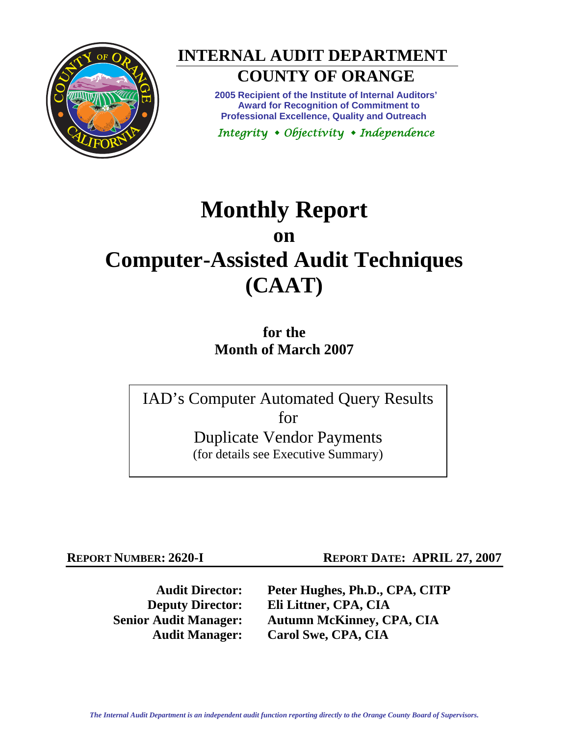



# **COUNTY OF ORANGE**

**2005 Recipient of the Institute of Internal Auditors' Award for Recognition of Commitment to Professional Excellence, Quality and Outreach** 

*Integrity Objectivity Independence* 

## **Monthly Report on Computer-Assisted Audit Techniques (CAAT)**

**for the Month of March 2007** 

IAD's Computer Automated Query Results for Duplicate Vendor Payments (for details see Executive Summary)

**REPORT NUMBER: 2620-I REPORT DATE: APRIL 27, 2007** 

**Audit Director: Peter Hughes, Ph.D., CPA, CITP Deputy Director: Eli Littner, CPA, CIA Senior Audit Manager: Autumn McKinney, CPA, CIA Audit Manager: Carol Swe, CPA, CIA**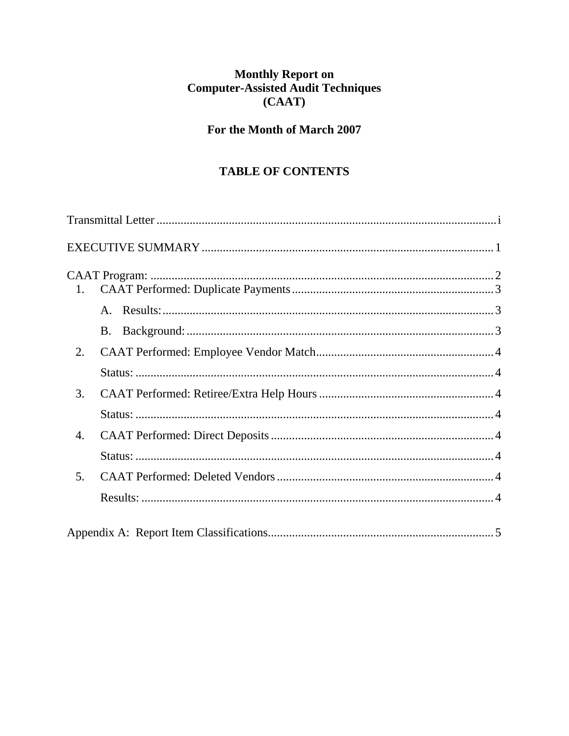## Monthly Report on<br>Computer-Assisted Audit Techniques  $(CAAT)$

## For the Month of March 2007

## **TABLE OF CONTENTS**

| 1.             |  |
|----------------|--|
|                |  |
|                |  |
| 2.             |  |
|                |  |
| 3.             |  |
|                |  |
| 4.             |  |
|                |  |
| 5 <sub>1</sub> |  |
|                |  |
|                |  |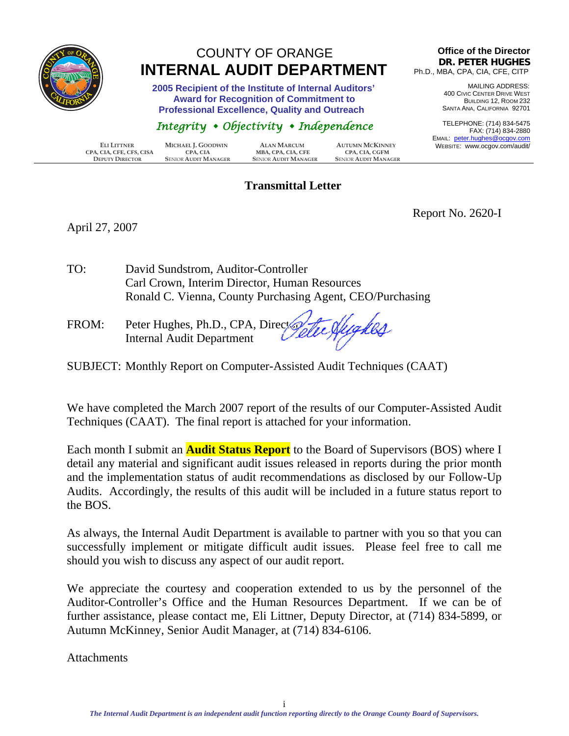<span id="page-2-0"></span>

## COUNTY OF ORANGE  **INTERNAL AUDIT DEPARTMENT**

 **2005 Recipient of the Institute of Internal Auditors' Award for Recognition of Commitment to Professional Excellence, Quality and Outreach** 

### *Integrity Objectivity Independence*

|                          |                             |                             |                             | LIVIAIL.     |
|--------------------------|-----------------------------|-----------------------------|-----------------------------|--------------|
| ELI LITTNER              | MICHAEL J. GOODWIN          | <b>ALAN MARCUM</b>          | <b>AUTUMN MCKINNEY</b>      | <b>WEBSI</b> |
| CPA, CIA, CFE, CFS, CISA | CPA. CIA                    | MBA, CPA, CIA, CFE          | <b>CPA. CIA. CGFM</b>       |              |
| <b>DEPUTY DIRECTOR</b>   | <b>SENIOR AUDIT MANAGER</b> | <b>SENIOR AUDIT MANAGER</b> | <b>SENIOR AUDIT MANAGER</b> |              |

#### **Transmittal Letter**

#### **Office of the Director DR. PETER HUGHES** Ph.D., MBA, CPA, CIA, CFE, CITP

MAILING ADDRESS: 400 CIVIC CENTER DRIVE WEST BUILDING 12, ROOM 232 SANTA ANA, CALIFORNIA 92701

TELEPHONE: (714) 834-5475 FAX: (714) 834-2880 EMAIL: peter.hughes@ocgov.com ITE: www.ocgov.com/audit/

April 27, 2007

Report No. 2620-I

- TO: David Sundstrom, Auditor-Controller Carl Crown, Interim Director, Human Resources Ronald C. Vienna, County Purchasing Agent, CEO/Purchasing
- FROM: Peter Hughes, Ph.D., CPA, Directory Internal Audit Department
- SUBJECT: Monthly Report on Computer-Assisted Audit Techniques (CAAT)

We have completed the March 2007 report of the results of our Computer-Assisted Audit Techniques (CAAT). The final report is attached for your information.

Each month I submit an **Audit Status Report** to the Board of Supervisors (BOS) where I detail any material and significant audit issues released in reports during the prior month and the implementation status of audit recommendations as disclosed by our Follow-Up Audits. Accordingly, the results of this audit will be included in a future status report to the BOS.

As always, the Internal Audit Department is available to partner with you so that you can successfully implement or mitigate difficult audit issues. Please feel free to call me should you wish to discuss any aspect of our audit report.

We appreciate the courtesy and cooperation extended to us by the personnel of the Auditor-Controller's Office and the Human Resources Department. If we can be of further assistance, please contact me, Eli Littner, Deputy Director, at (714) 834-5899, or Autumn McKinney, Senior Audit Manager, at (714) 834-6106.

**Attachments**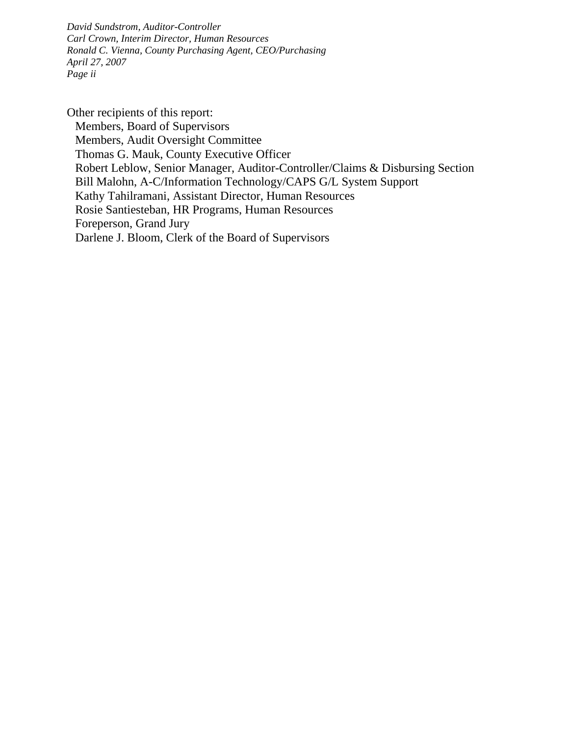*David Sundstrom, Auditor-Controller Carl Crown, Interim Director, Human Resources Ronald C. Vienna, County Purchasing Agent, CEO/Purchasing April 27, 2007 Page ii* 

Other recipients of this report: Members, Board of Supervisors Members, Audit Oversight Committee Thomas G. Mauk, County Executive Officer Robert Leblow, Senior Manager, Auditor-Controller/Claims & Disbursing Section Bill Malohn, A-C/Information Technology/CAPS G/L System Support Kathy Tahilramani, Assistant Director, Human Resources Rosie Santiesteban, HR Programs, Human Resources Foreperson, Grand Jury Darlene J. Bloom, Clerk of the Board of Supervisors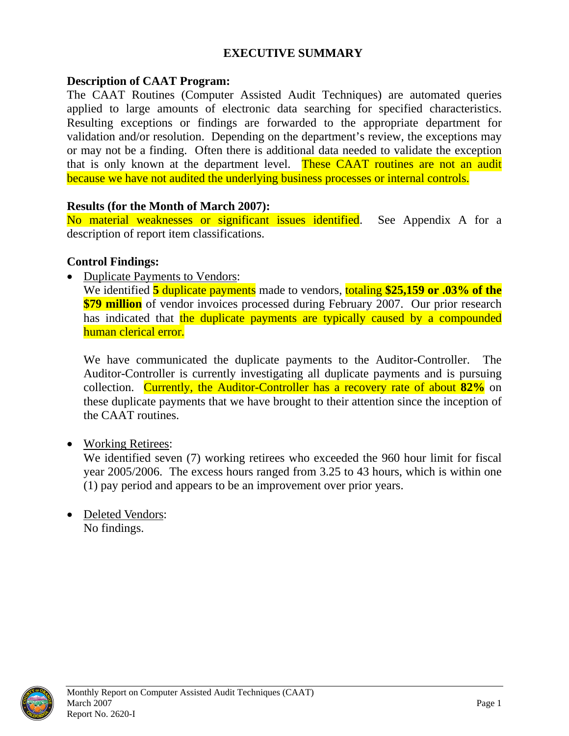#### **EXECUTIVE SUMMARY**

#### <span id="page-4-0"></span>**Description of CAAT Program:**

The CAAT Routines (Computer Assisted Audit Techniques) are automated queries applied to large amounts of electronic data searching for specified characteristics. Resulting exceptions or findings are forwarded to the appropriate department for validation and/or resolution. Depending on the department's review, the exceptions may or may not be a finding. Often there is additional data needed to validate the exception that is only known at the department level. These CAAT routines are not an audit because we have not audited the underlying business processes or internal controls.

#### **Results (for the Month of March 2007):**

No material weaknesses or significant issues identified. See Appendix A for a description of report item classifications.

#### **Control Findings:**

• Duplicate Payments to Vendors:

We identified **5** duplicate payments made to vendors, totaling **\$25,159 or .03% of the \$79 million** of vendor invoices processed during February 2007. Our prior research has indicated that the duplicate payments are typically caused by a compounded human clerical error.

We have communicated the duplicate payments to the Auditor-Controller. The Auditor-Controller is currently investigating all duplicate payments and is pursuing collection. Currently, the Auditor-Controller has a recovery rate of about **82%** on these duplicate payments that we have brought to their attention since the inception of the CAAT routines.

• Working Retirees:

We identified seven (7) working retirees who exceeded the 960 hour limit for fiscal year 2005/2006. The excess hours ranged from 3.25 to 43 hours, which is within one (1) pay period and appears to be an improvement over prior years.

• Deleted Vendors: No findings.

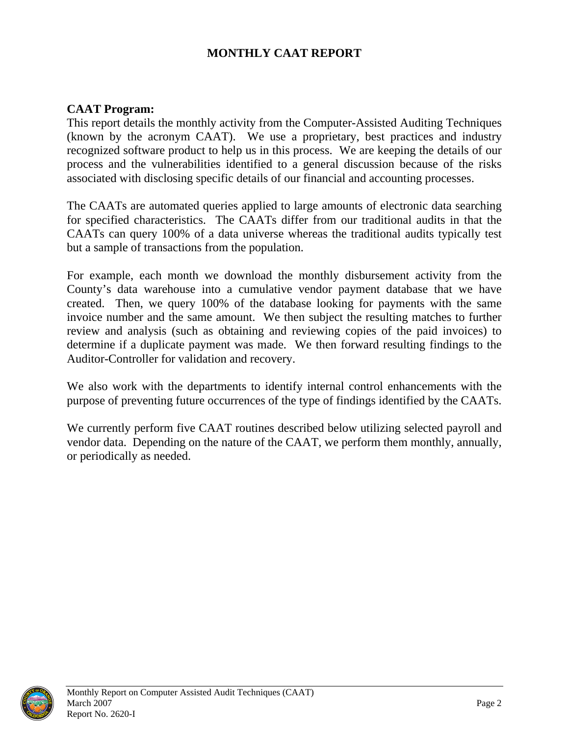#### **MONTHLY CAAT REPORT**

#### <span id="page-5-0"></span>**CAAT Program:**

This report details the monthly activity from the Computer-Assisted Auditing Techniques (known by the acronym CAAT). We use a proprietary, best practices and industry recognized software product to help us in this process. We are keeping the details of our process and the vulnerabilities identified to a general discussion because of the risks associated with disclosing specific details of our financial and accounting processes.

The CAATs are automated queries applied to large amounts of electronic data searching for specified characteristics. The CAATs differ from our traditional audits in that the CAATs can query 100% of a data universe whereas the traditional audits typically test but a sample of transactions from the population.

For example, each month we download the monthly disbursement activity from the County's data warehouse into a cumulative vendor payment database that we have created. Then, we query 100% of the database looking for payments with the same invoice number and the same amount. We then subject the resulting matches to further review and analysis (such as obtaining and reviewing copies of the paid invoices) to determine if a duplicate payment was made. We then forward resulting findings to the Auditor-Controller for validation and recovery.

We also work with the departments to identify internal control enhancements with the purpose of preventing future occurrences of the type of findings identified by the CAATs.

We currently perform five CAAT routines described below utilizing selected payroll and vendor data. Depending on the nature of the CAAT, we perform them monthly, annually, or periodically as needed.

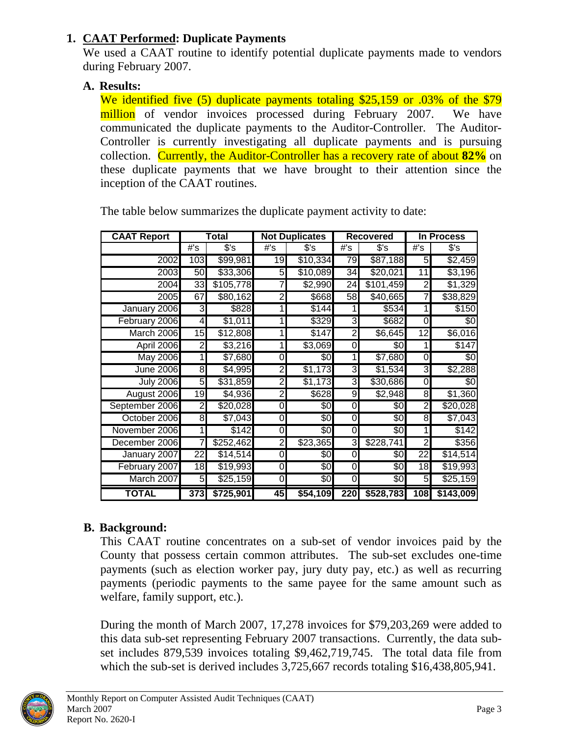### <span id="page-6-0"></span>**1. CAAT Performed: Duplicate Payments**

We used a CAAT routine to identify potential duplicate payments made to vendors during February 2007.

### **A. Results:**

We identified five (5) duplicate payments totaling \$25,159 or .03% of the \$79 million of vendor invoices processed during February 2007. We have communicated the duplicate payments to the Auditor-Controller. The Auditor-Controller is currently investigating all duplicate payments and is pursuing collection. Currently, the Auditor-Controller has a recovery rate of about **82%** on these duplicate payments that we have brought to their attention since the inception of the CAAT routines.

| <b>CAAT Report</b><br>Total |     | <b>Not Duplicates</b> |                | <b>Recovered</b> |                         | In Process          |                 |           |
|-----------------------------|-----|-----------------------|----------------|------------------|-------------------------|---------------------|-----------------|-----------|
|                             | #'s | $s$ 's                | #'s            | $s$ 's           | $#$ 's                  | $s$ 's              | #s              | s's       |
| 2002                        | 103 | \$99,981              | 19             | \$10,334         | 79                      | \$87,188            | 5               | \$2,459   |
| 2003                        | 50  | \$33,306              | 5              | \$10,089         | 34                      | \$20,021            | 11              | \$3,196   |
| 2004                        | 33  | \$105,778             |                | \$2,990          | 24                      | \$101,459           | 2               | \$1,329   |
| 2005                        | 67  | \$80,162              | 2              | \$668            | 58                      | \$40,665            | 7               | \$38,829  |
| January 2006                | 3   | \$828                 |                | \$144            |                         | \$534               |                 | \$150     |
| February 2006               | 4   | \$1,011               |                | \$329            | 3                       | \$682               | 0               | \$0       |
| March 2006                  | 15  | \$12,808              |                | \$147            | $\overline{2}$          | $\overline{$6,645}$ | 12              | \$6,016   |
| April 2006                  | 2   | \$3,216               | 1              | \$3,069          | 0                       | \$0                 | 1               | \$147     |
| <b>May 2006</b>             |     | \$7,680               | 0              | \$0              | 1                       | \$7,680             | 0               | \$0       |
| <b>June 2006</b>            | 8   | \$4,995               | 2              | \$1,173          | 3                       | \$1,534             | 3               | \$2,288   |
| <b>July 2006</b>            | 5   | \$31,859              | 2              | \$1,173          | 3                       | \$30,686            | 0               | \$0       |
| August 2006                 | 19  | \$4,936               | $\overline{c}$ | \$628            | 9                       | \$2,948             | 8               | \$1,360   |
| September 2006              | 2   | \$20,028              | 0              | \$0              | 0                       | \$0                 | 2               | \$20,028  |
| October 2006                | 8   | \$7,043               | 0              | \$0              | 0                       | \$0                 | 8               | \$7,043   |
| November 2006               |     | \$142                 | 0              | \$0              | $\overline{0}$          | \$0                 |                 | \$142     |
| December 2006               | 7   | \$252,462             | $\overline{2}$ | \$23,365         | $\overline{\mathbf{3}}$ | \$228,741           | $\overline{2}$  | \$356     |
| January 2007                | 22  | \$14,514              | $\Omega$       | \$0              | 0                       | \$0                 | 22              | \$14,514  |
| February 2007               | 18  | \$19,993              | 0              | \$0              | 0                       | \$0                 | $\overline{18}$ | \$19,993  |
| March 2007                  | 5   | \$25,159              | 0              | \$0              | 0                       | \$0                 | 5               | \$25,159  |
| <b>TOTAL</b>                | 373 | \$725,901             | 45             | \$54,109         | 220                     | \$528,783           | 108             | \$143,009 |

The table below summarizes the duplicate payment activity to date:

## **B. Background:**

This CAAT routine concentrates on a sub-set of vendor invoices paid by the County that possess certain common attributes. The sub-set excludes one-time payments (such as election worker pay, jury duty pay, etc.) as well as recurring payments (periodic payments to the same payee for the same amount such as welfare, family support, etc.).

During the month of March 2007, 17,278 invoices for \$79,203,269 were added to this data sub-set representing February 2007 transactions. Currently, the data subset includes 879,539 invoices totaling \$9,462,719,745. The total data file from which the sub-set is derived includes 3,725,667 records totaling \$16,438,805,941.

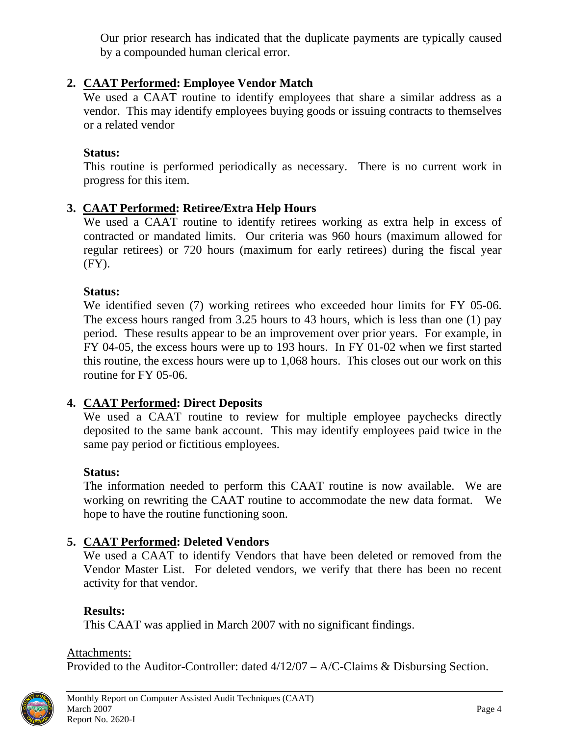Our prior research has indicated that the duplicate payments are typically caused by a compounded human clerical error.

### <span id="page-7-0"></span>**2. CAAT Performed: Employee Vendor Match**

We used a CAAT routine to identify employees that share a similar address as a vendor. This may identify employees buying goods or issuing contracts to themselves or a related vendor

#### **Status:**

This routine is performed periodically as necessary. There is no current work in progress for this item.

#### **3. CAAT Performed: Retiree/Extra Help Hours**

We used a CAAT routine to identify retirees working as extra help in excess of contracted or mandated limits. Our criteria was 960 hours (maximum allowed for regular retirees) or 720 hours (maximum for early retirees) during the fiscal year (FY).

#### **Status:**

We identified seven (7) working retirees who exceeded hour limits for FY 05-06. The excess hours ranged from 3.25 hours to 43 hours, which is less than one (1) pay period. These results appear to be an improvement over prior years. For example, in FY 04-05, the excess hours were up to 193 hours. In FY 01-02 when we first started this routine, the excess hours were up to 1,068 hours. This closes out our work on this routine for FY 05-06.

#### **4. CAAT Performed: Direct Deposits**

We used a CAAT routine to review for multiple employee paychecks directly deposited to the same bank account. This may identify employees paid twice in the same pay period or fictitious employees.

#### **Status:**

The information needed to perform this CAAT routine is now available. We are working on rewriting the CAAT routine to accommodate the new data format. We hope to have the routine functioning soon.

#### **5. CAAT Performed: Deleted Vendors**

We used a CAAT to identify Vendors that have been deleted or removed from the Vendor Master List. For deleted vendors, we verify that there has been no recent activity for that vendor.

#### **Results:**

This CAAT was applied in March 2007 with no significant findings.

#### Attachments:

Provided to the Auditor-Controller: dated 4/12/07 – A/C-Claims & Disbursing Section.